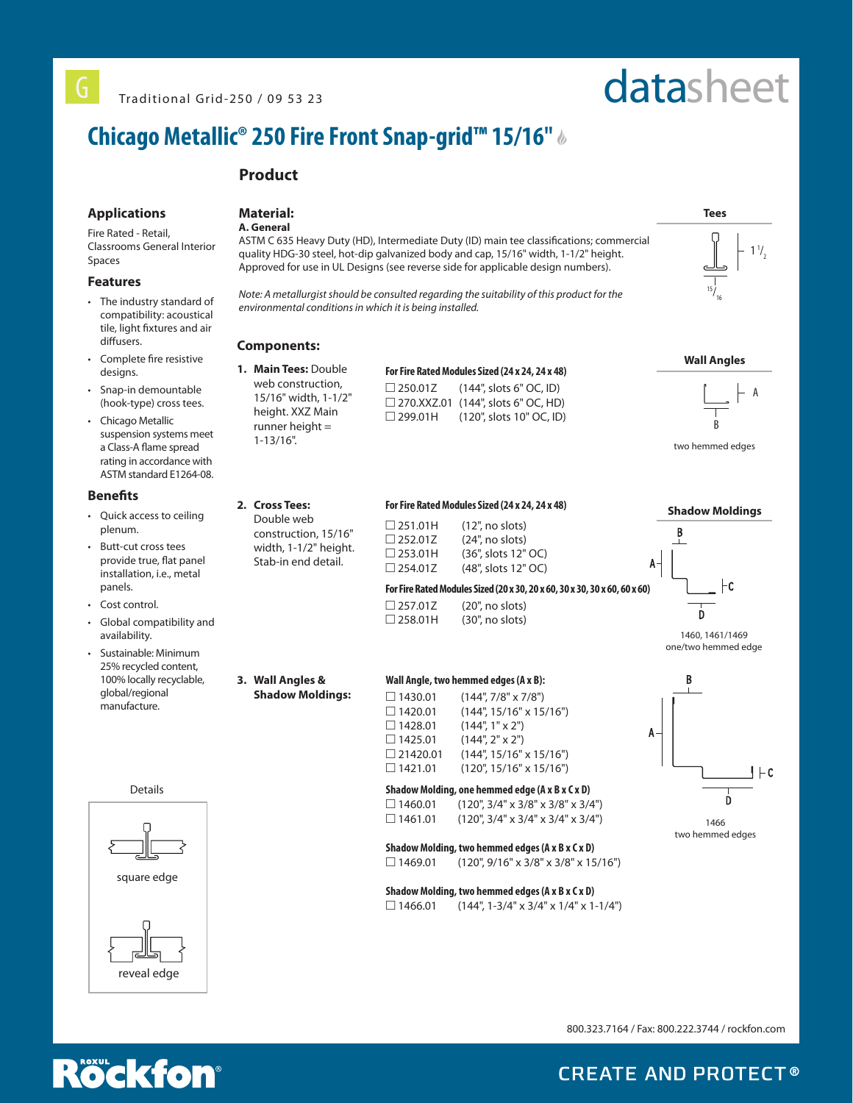# datasheet

## **Chicago Metallic® 250 Fire Front Snap-grid™ 15/16"**

## **Product**

## **Applications**

Fire Rated - Retail,

Classrooms General Interior Spaces

## **Features**

- The industry standard of compatibility: acoustical tile, light fixtures and air diffusers.
- Complete fire resistive designs.
- Snap-in demountable (hook-type) cross tees.
- Chicago Metallic suspension systems meet a Class-A flame spread rating in accordance with ASTM standard E1264-08.

## **Benefits**

- Quick access to ceiling plenum.
- Butt-cut cross tees provide true, flat panel installation, i.e., metal panels.
- Cost control.
- Global compatibility and availability.
- Sustainable: Minimum 25% recycled content, 100% locally recyclable, global/regional manufacture.



### **Material: A. General**

ASTM C 635 Heavy Duty (HD), Intermediate Duty (ID) main tee classifications; commercial quality HDG-30 steel, hot-dip galvanized body and cap, 15/16" width, 1-1/2" height. Approved for use in UL Designs (see reverse side for applicable design numbers).

*Note: A metallurgist should be consulted regarding the suitability of this product for the environmental conditions in which it is being installed.*

## **Components:**

**1. Main Tees:** Double web construction, 15/16" width, 1-1/2" height. XXZ Main runner height = 1-13/16".

| For Fire Rated Modules Sized (24 x 24, 24 x 48) |                                           |  |  |  |  |
|-------------------------------------------------|-------------------------------------------|--|--|--|--|
| $\Box$ 250.01Z                                  | $(144$ ", slots 6" OC, ID)                |  |  |  |  |
|                                                 | $\Box$ 270.XXZ.01 (144", slots 6" OC, HD) |  |  |  |  |
| □ 299.01H                                       | (120", slots 10" OC, ID)                  |  |  |  |  |



**Wall Angles**



two hemmed edges

1466 two hemmed edges

D

 $1 + c$ 



 $\Box$  1430.01 (144", 7/8" x 7/8")<br> $\Box$  1420.01 (144", 15/16" x 15 (144", 15/16" x 15/16")  $\Box$  1428.01 (144", 1" x 2")  $\Box$  1425.01 (144", 2" x 2")  $\Box$  21420.01 (144", 15/16" x 15/16")  $\Box$  1421.01 (120", 15/16" x 15/16")

**Shadow Molding, one hemmed edge (A x B x C x D)**  $\Box$  1460.01 (120", 3/4" x 3/8" x 3/8" x 3/4")  $\Box$  1461.01 (120", 3/4" x 3/4" x 3/4" x 3/4")

**Shadow Molding, two hemmed edges (A x B x C x D)**  $\Box$  1469.01 (120", 9/16" x 3/8" x 3/8" x 15/16")

## **Shadow Molding, two hemmed edges (A x B x C x D)**

 $\Box$  1466.01 (144", 1-3/4" x 3/4" x 1/4" x 1-1/4")

800.323.7164 / Fax: 800.222.3744 / rockfon.com



**CREATE AND PROTECT®**